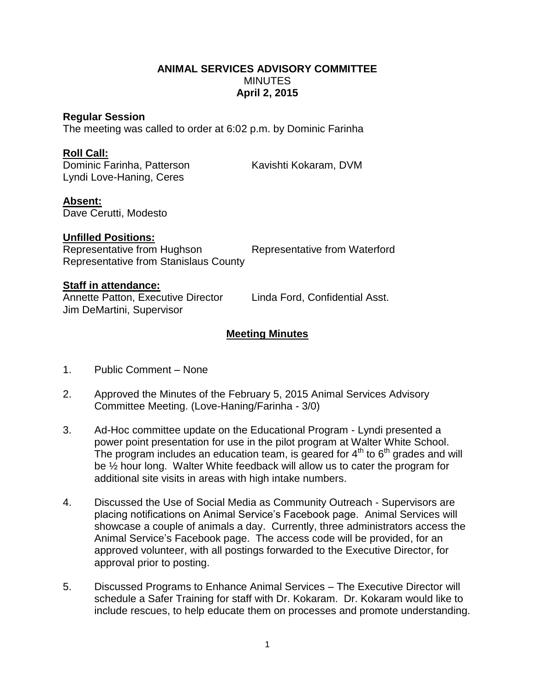#### **ANIMAL SERVICES ADVISORY COMMITTEE MINUTES April 2, 2015**

#### **Regular Session**

The meeting was called to order at 6:02 p.m. by Dominic Farinha

## **Roll Call:**

Dominic Farinha, Patterson Kavishti Kokaram, DVM Lyndi Love-Haning, Ceres

# **Absent:**

Dave Cerutti, Modesto

### **Unfilled Positions:**

Representative from Hughson Representative from Waterford Representative from Stanislaus County

### **Staff in attendance:**

Annette Patton, Executive Director Linda Ford, Confidential Asst. Jim DeMartini, Supervisor

# **Meeting Minutes**

- 1. Public Comment None
- 2. Approved the Minutes of the February 5, 2015 Animal Services Advisory Committee Meeting. (Love-Haning/Farinha - 3/0)
- 3. Ad-Hoc committee update on the Educational Program Lyndi presented a power point presentation for use in the pilot program at Walter White School. The program includes an education team, is geared for  $4<sup>th</sup>$  to  $6<sup>th</sup>$  grades and will be ½ hour long. Walter White feedback will allow us to cater the program for additional site visits in areas with high intake numbers.
- 4. Discussed the Use of Social Media as Community Outreach Supervisors are placing notifications on Animal Service's Facebook page. Animal Services will showcase a couple of animals a day. Currently, three administrators access the Animal Service's Facebook page. The access code will be provided, for an approved volunteer, with all postings forwarded to the Executive Director, for approval prior to posting.
- 5. Discussed Programs to Enhance Animal Services The Executive Director will schedule a Safer Training for staff with Dr. Kokaram. Dr. Kokaram would like to include rescues, to help educate them on processes and promote understanding.